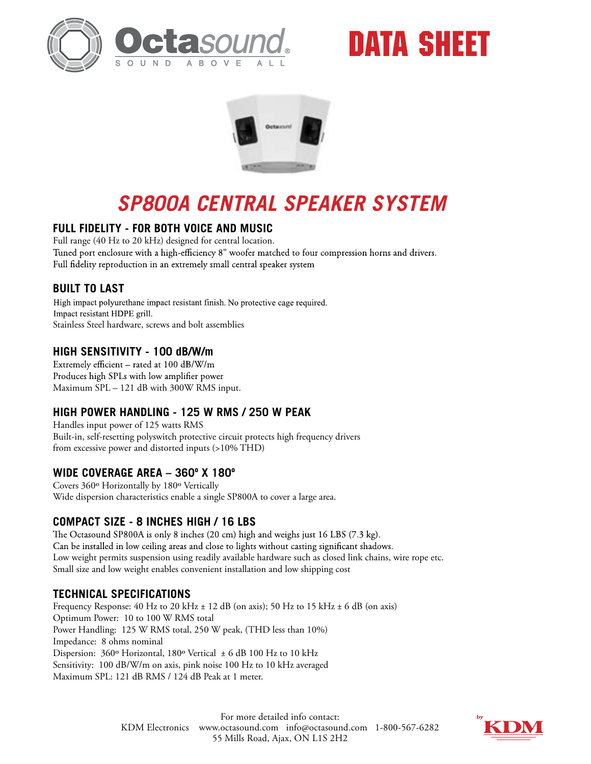

# DATA SHEET



# *SP800A CENTRAL SPEAKER SYSTEM*

## **FULL FIDELITY - FOR BOTH VOICE AND MUSIC**

Full range (40 Hz to 20 kHz) designed for central location. Tuned port enclosure with a high-efficiency 8" woofer matched to four compression horns and drivers. Full fidelity reproduction in an extremely small central speaker system

# **BUILT TO LAST**

High impact polyurethane impact resistant finish. No protective cage required. Impact resistant HDPE grill. Stainless Steel hardware, screws and bolt assemblies

## **HIGH SENSITIVITY - 100 dB/W/m**

Extremely efficient - rated at 100 dB/W/m Produces high SPLs with low amplifier power Maximum SPL – 121 dB with 300W RMS input.

#### **HIGH POWER HANDLING - 125 W RMS / 250 W PEAK**

Handles input power of 125 watts RMS Built-in, self-resetting polyswitch protective circuit protects high frequency drivers from excessive power and distorted inputs (>10% THD)

#### **WIDE COVERAGE AREA – 360º X 180º**

Covers 360º Horizontally by 180º Vertically Wide dispersion characteristics enable a single SP800A to cover a large area.

#### **COMPACT SIZE - 8 INCHES HIGH / 16 LBS**

The Octasound SP800A is only 8 inches (20 cm) high and weighs just 16 LBS (7.3 kg). Can be installed in low ceiling areas and close to lights without casting significant shadows. Low weight permits suspension using readily available hardware such as closed link chains, wire rope etc. Small size and low weight enables convenient installation and low shipping cost

## **TECHNICAL SPECIFICATIONS**

Frequency Response: 40 Hz to 20 kHz ± 12 dB (on axis); 50 Hz to 15 kHz ± 6 dB (on axis) Optimum Power: 10 to 100 W RMS total Power Handling: 125 W RMS total, 250 W peak, (THD less than 10%) Impedance: 8 ohms nominal Dispersion: 360° Horizontal, 180° Vertical ± 6 dB 100 Hz to 10 kHz Sensitivity: 100 dB/W/m on axis, pink noise 100 Hz to 10 kHz averaged Maximum SPL: 121 dB RMS / 124 dB Peak at 1 meter.